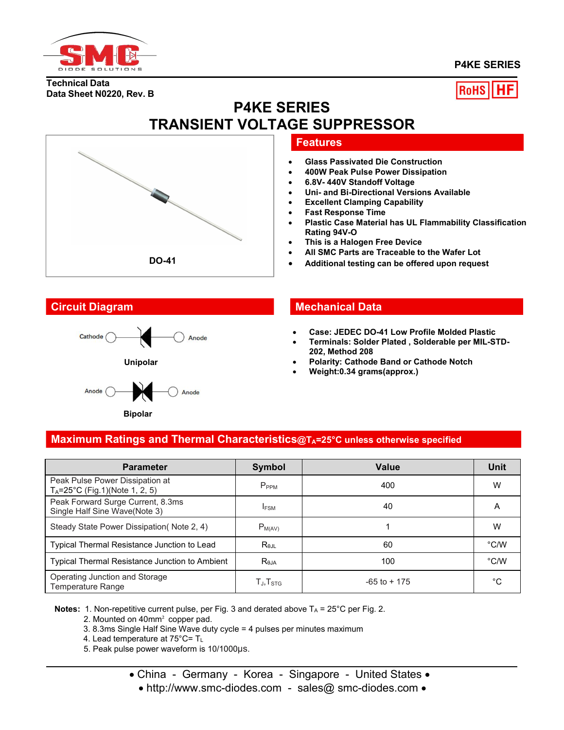

## **P4KE SERIES**

**Technical Data Data Sheet N0220, Rev. B**



# **P4KE SERIES TRANSIENT VOLTAGE SUPPRESSOR**

## **Features**

- **Glass Passivated Die Construction**
- **400W Peak Pulse Power Dissipation**
- **6.8V- 440V Standoff Voltage**
- **Uni- and Bi-Directional Versions Available**
- **Excellent Clamping Capability**
- **Fast Response Time**
- **Plastic Case Material has UL Flammability Classification Rating 94V-O**
- **This is a Halogen Free Device**
- **All SMC Parts are Traceable to the Wafer Lot**
- **Additional testing can be offered upon request**



**Bipolar**

**DO-41**

## **Circuit Diagram Mechanical Data**

- **Case: JEDEC DO-41 Low Profile Molded Plastic**
- **Terminals: Solder Plated , Solderable per MIL-STD- 202, Method 208**
- **Polarity: Cathode Band or Cathode Notch**
- **Weight:0.34 grams(approx.)**

## **Maximum Ratings and Thermal Characteristics@TA=25°C unless otherwise specified**

| <b>Parameter</b>                                                             | <b>Symbol</b>                                        | Value           | <b>Unit</b>   |
|------------------------------------------------------------------------------|------------------------------------------------------|-----------------|---------------|
| Peak Pulse Power Dissipation at<br>$T_A = 25^{\circ}C$ (Fig.1)(Note 1, 2, 5) | P <sub>PPM</sub>                                     | 400             | W             |
| Peak Forward Surge Current, 8.3ms<br>Single Half Sine Wave(Note 3)           | <b>IFSM</b>                                          | 40              | A             |
| Steady State Power Dissipation(Note 2, 4)                                    | $P_{M(AV)}$                                          |                 | W             |
| Typical Thermal Resistance Junction to Lead                                  | Rejl                                                 | 60              | $\degree$ C/W |
| Typical Thermal Resistance Junction to Ambient                               | $R_{\theta$ JA                                       | 100             | $\degree$ C/W |
| Operating Junction and Storage<br>Temperature Range                          | $\mathsf{T}_{\mathsf{J}}, \mathsf{T}_{\mathsf{STG}}$ | $-65$ to $+175$ | °C            |

**Notes:** 1. Non-repetitive current pulse, per Fig. 3 and derated above  $T_A = 25^{\circ}C$  per Fig. 2.

2. Mounted on 40mm² copper pad.

3. 8.3ms Single Half Sine Wave duty cycle = 4 pulses per minutes maximum

4. Lead temperature at 75°C= TL

- 5. Peak pulse power waveform is 10/1000μs.
	- China Germany Korea Singapore United States
		- http://www.smc-diodes.com sales@ smc-diodes.com •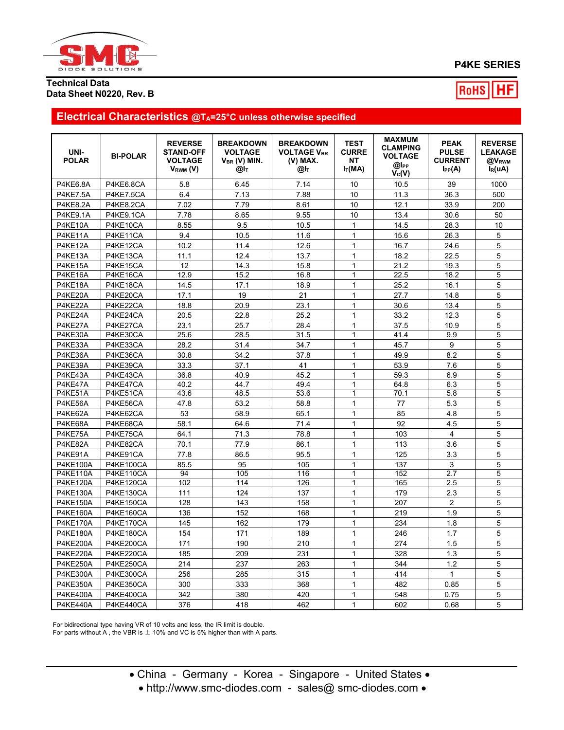

# **P4KE SERIES**

### **Technical Data Data Sheet N0220, Rev. B**

RoHS НF

# **Electrical Characteristics @TA=25°C unless otherwise specified**

| UNI-<br><b>POLAR</b> | <b>BI-POLAR</b>  | <b>REVERSE</b><br><b>STAND-OFF</b><br><b>VOLTAGE</b><br>$V_{RWM} (V)$ | <b>BREAKDOWN</b><br><b>VOLTAGE</b><br>$V_{BR}$ (V) MIN.<br>@Іт | <b>BREAKDOWN</b><br><b>VOLTAGE VBR</b><br>(V) MAX.<br>@l⊤ | <b>TEST</b><br><b>CURRE</b><br>NΤ<br>$I_T(MA)$ | <b>MAXMUM</b><br><b>CLAMPING</b><br><b>VOLTAGE</b><br>@l <sub>PP</sub><br>$V_{C}(V)$ | <b>PEAK</b><br><b>PULSE</b><br><b>CURRENT</b><br>$I_{PP}(A)$ | <b>REVERSE</b><br><b>LEAKAGE</b><br>@V <sub>RWM</sub><br>$I_R(uA)$ |
|----------------------|------------------|-----------------------------------------------------------------------|----------------------------------------------------------------|-----------------------------------------------------------|------------------------------------------------|--------------------------------------------------------------------------------------|--------------------------------------------------------------|--------------------------------------------------------------------|
| <b>P4KE6.8A</b>      | P4KE6.8CA        | 5.8                                                                   | 6.45                                                           | 7.14                                                      | 10                                             | 10.5                                                                                 | 39                                                           | 1000                                                               |
| <b>P4KE7.5A</b>      | P4KE7.5CA        | 6.4                                                                   | 7.13                                                           | 7.88                                                      | 10                                             | 11.3                                                                                 | 36.3                                                         | 500                                                                |
| <b>P4KE8.2A</b>      | P4KE8.2CA        | 7.02                                                                  | 7.79                                                           | 8.61                                                      | 10                                             | 12.1                                                                                 | 33.9                                                         | 200                                                                |
| <b>P4KE9.1A</b>      | P4KE9.1CA        | 7.78                                                                  | 8.65                                                           | 9.55                                                      | 10                                             | 13.4                                                                                 | 30.6                                                         | 50                                                                 |
| P4KE10A              | P4KE10CA         | 8.55                                                                  | 9.5                                                            | 10.5                                                      | $\mathbf{1}$                                   | 14.5                                                                                 | 28.3                                                         | 10                                                                 |
| P4KE11A              | P4KE11CA         | 9.4                                                                   | 10.5                                                           | 11.6                                                      | $\mathbf{1}$                                   | 15.6                                                                                 | 26.3                                                         | 5                                                                  |
| P4KE12A              | P4KE12CA         | 10.2                                                                  | 11.4                                                           | 12.6                                                      | $\mathbf{1}$                                   | 16.7                                                                                 | 24.6                                                         | 5                                                                  |
| P4KE13A              | P4KE13CA         | 11.1                                                                  | 12.4                                                           | 13.7                                                      | $\mathbf{1}$                                   | 18.2                                                                                 | 22.5                                                         | 5                                                                  |
| P4KE15A              | P4KE15CA         | 12                                                                    | 14.3                                                           | 15.8                                                      | $\mathbf{1}$                                   | 21.2                                                                                 | 19.3                                                         | 5                                                                  |
| P4KE16A              | P4KE16CA         | 12.9                                                                  | 15.2                                                           | 16.8                                                      | $\mathbf{1}$                                   | 22.5                                                                                 | 18.2                                                         | 5                                                                  |
| P4KE18A              | P4KE18CA         | 14.5                                                                  | 17.1                                                           | 18.9                                                      | $\mathbf{1}$                                   | 25.2                                                                                 | 16.1                                                         | 5                                                                  |
| P4KE20A              | P4KE20CA         | 17.1                                                                  | 19                                                             | 21                                                        | $\mathbf{1}$                                   | 27.7                                                                                 | 14.8                                                         | 5                                                                  |
| P4KE22A              | P4KE22CA         | 18.8                                                                  | 20.9                                                           | 23.1                                                      | $\mathbf{1}$                                   | 30.6                                                                                 | 13.4                                                         | 5                                                                  |
| P4KE24A              | P4KE24CA         | 20.5                                                                  | 22.8                                                           | 25.2                                                      | $\mathbf{1}$                                   | 33.2                                                                                 | 12.3                                                         | 5                                                                  |
| P4KE27A              | P4KE27CA         | 23.1                                                                  | 25.7                                                           | 28.4                                                      | $\mathbf{1}$                                   | 37.5                                                                                 | 10.9                                                         | 5                                                                  |
| P4KE30A              | P4KE30CA         | 25.6                                                                  | 28.5                                                           | 31.5                                                      | $\mathbf{1}$                                   | 41.4                                                                                 | 9.9                                                          | 5                                                                  |
| P4KE33A              | P4KE33CA         | 28.2                                                                  | 31.4                                                           | 34.7                                                      | $\mathbf{1}$                                   | 45.7                                                                                 | 9                                                            | 5                                                                  |
| P4KE36A              | P4KE36CA         | 30.8                                                                  | 34.2                                                           | 37.8                                                      | $\mathbf{1}$                                   | 49.9                                                                                 | 8.2                                                          | 5                                                                  |
| P4KE39A              | P4KE39CA         | 33.3                                                                  | 37.1                                                           | 41                                                        | $\mathbf{1}$                                   | 53.9                                                                                 | 7.6                                                          | 5                                                                  |
| P4KE43A              | P4KE43CA         | 36.8                                                                  | 40.9                                                           | 45.2                                                      | $\mathbf{1}$                                   | 59.3                                                                                 | 6.9                                                          | 5                                                                  |
| P4KE47A              | P4KE47CA         | 40.2                                                                  | 44.7                                                           | 49.4                                                      | $\mathbf{1}$                                   | 64.8                                                                                 | 6.3                                                          | 5                                                                  |
| P4KE51A              | P4KE51CA         | 43.6                                                                  | 48.5                                                           | 53.6                                                      | $\mathbf{1}$                                   | 70.1                                                                                 | 5.8                                                          | 5                                                                  |
| P4KE56A              | P4KE56CA         | 47.8                                                                  | 53.2                                                           | 58.8                                                      | $\mathbf{1}$                                   | 77                                                                                   | 5.3                                                          | 5                                                                  |
| P4KE62A              | P4KE62CA         | 53                                                                    | 58.9                                                           | 65.1                                                      | $\mathbf{1}$                                   | 85                                                                                   | 4.8                                                          | 5                                                                  |
| P4KE68A              | P4KE68CA         | 58.1                                                                  | 64.6                                                           | 71.4                                                      | $\mathbf{1}$                                   | 92                                                                                   | 4.5                                                          | 5                                                                  |
| P4KE75A              | P4KE75CA         | 64.1                                                                  | 71.3                                                           | 78.8                                                      | $\mathbf{1}$                                   | 103                                                                                  | 4                                                            | 5                                                                  |
| P4KE82A              | P4KE82CA         | 70.1                                                                  | 77.9                                                           | 86.1                                                      | $\mathbf{1}$                                   | 113                                                                                  | 3.6                                                          | 5                                                                  |
| P4KE91A              | P4KE91CA         | 77.8                                                                  | 86.5                                                           | 95.5                                                      | $\mathbf{1}$                                   | 125                                                                                  | 3.3                                                          | 5                                                                  |
| <b>P4KE100A</b>      | <b>P4KE100CA</b> | 85.5                                                                  | 95                                                             | 105                                                       | $\mathbf{1}$                                   | 137                                                                                  | 3                                                            | 5                                                                  |
| <b>P4KE110A</b>      | P4KE110CA        | 94                                                                    | 105                                                            | 116                                                       | $\overline{1}$                                 | 152                                                                                  | 2.7                                                          | 5                                                                  |
| <b>P4KE120A</b>      | P4KE120CA        | 102                                                                   | 114                                                            | 126                                                       | $\mathbf{1}$                                   | 165                                                                                  | 2.5                                                          | 5                                                                  |
| <b>P4KE130A</b>      | <b>P4KE130CA</b> | 111                                                                   | 124                                                            | 137                                                       | $\mathbf{1}$                                   | 179                                                                                  | 2.3                                                          | 5                                                                  |
| <b>P4KE150A</b>      | <b>P4KE150CA</b> | 128                                                                   | 143                                                            | 158                                                       | $\mathbf{1}$                                   | 207                                                                                  | $\overline{2}$                                               | 5                                                                  |
| <b>P4KE160A</b>      | <b>P4KE160CA</b> | 136                                                                   | 152                                                            | 168                                                       | $\mathbf{1}$                                   | 219                                                                                  | 1.9                                                          | 5                                                                  |
| <b>P4KE170A</b>      | P4KE170CA        | 145                                                                   | 162                                                            | 179                                                       | $\mathbf{1}$                                   | 234                                                                                  | 1.8                                                          | 5                                                                  |
| <b>P4KE180A</b>      | <b>P4KE180CA</b> | 154                                                                   | 171                                                            | 189                                                       | $\mathbf{1}$                                   | 246                                                                                  | 1.7                                                          | 5                                                                  |
| <b>P4KE200A</b>      | <b>P4KE200CA</b> | 171                                                                   | 190                                                            | 210                                                       | $\mathbf{1}$                                   | 274                                                                                  | 1.5                                                          | 5                                                                  |
| <b>P4KE220A</b>      | P4KE220CA        | 185                                                                   | 209                                                            | 231                                                       | $\mathbf{1}$                                   | 328                                                                                  | 1.3                                                          | 5                                                                  |
| <b>P4KE250A</b>      | P4KE250CA        | 214                                                                   | 237                                                            | 263                                                       | $\mathbf{1}$                                   | 344                                                                                  | 1.2                                                          | 5                                                                  |
| <b>P4KE300A</b>      | <b>P4KE300CA</b> | 256                                                                   | 285                                                            | 315                                                       | $\mathbf{1}$                                   | 414                                                                                  | $\mathbf{1}$                                                 | 5                                                                  |
| <b>P4KE350A</b>      | <b>P4KE350CA</b> | 300                                                                   | 333                                                            | 368                                                       | $\mathbf{1}$                                   | 482                                                                                  | 0.85                                                         | 5                                                                  |
| <b>P4KE400A</b>      | P4KE400CA        | 342                                                                   | 380                                                            | 420                                                       | 1                                              | 548                                                                                  | 0.75                                                         | 5                                                                  |
|                      |                  |                                                                       |                                                                |                                                           | $\mathbf{1}$                                   |                                                                                      |                                                              | 5                                                                  |
| <b>P4KE440A</b>      | P4KE440CA        | 376                                                                   | 418                                                            | 462                                                       |                                                | 602                                                                                  | 0.68                                                         |                                                                    |

For bidirectional type having VR of 10 volts and less, the IR limit is double.

For parts without A, the VBR is  $\pm$  10% and VC is 5% higher than with A parts.

• http://www.smc-diodes.com - sales@ smc-diodes.com •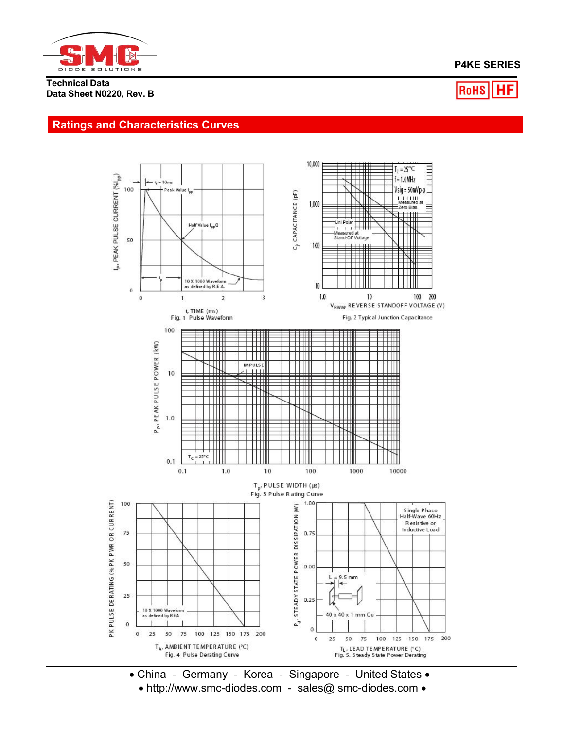

# **P4KE SERIES**

**Technical Data Data Sheet N0220, Rev. B**

#### |HF RoHS

# **Ratings and Characteristics Curves**



 China - Germany - Korea - Singapore - United States • http://www.smc-diodes.com - sales@ smc-diodes.com •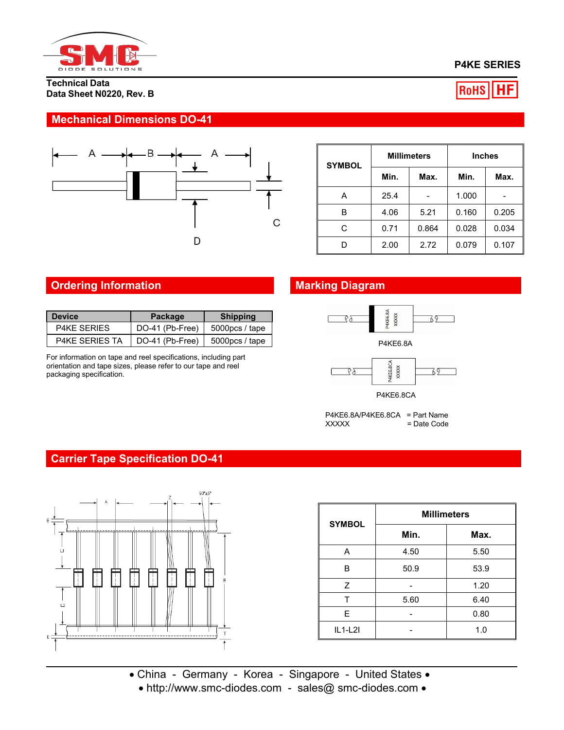

### **Technical Data Data Sheet N0220, Rev. B**

# **P4KE SERIES**



# **Mechanical Dimensions DO-41**



| <b>SYMBOL</b> |      | <b>Millimeters</b> | <b>Inches</b> |       |  |
|---------------|------|--------------------|---------------|-------|--|
|               | Min. | Max.               | Min.          | Max.  |  |
| А             | 25.4 |                    | 1.000         |       |  |
| В             | 4.06 | 5.21               | 0.160         | 0.205 |  |
| С             | 0.71 | 0.864              | 0.028         | 0.034 |  |
| D             | 2.00 | 2.72               | 0.079         | 0.107 |  |

# **Ordering Information Marking Diagram**

| <b>Device</b>      | Package                                        | <b>Shipping</b> |
|--------------------|------------------------------------------------|-----------------|
| <b>P4KE SERIES</b> | DO-41 (Pb-Free)   $5000pcs/$ tape              |                 |
| P4KE SERIES TA     | $\vert$ DO-41 (Pb-Free) $\vert$ 5000pcs / tape |                 |

For information on tape and reel specifications, including part orientation and tape sizes, please refer to our tape and reel packaging specification.



P4KE6.8A



P4KE6.8CA

P4KE6.8A/P4KE6.8CA = Part Name<br>XXXXX = Date Code  $=$  Date Code

# **Carrier Tape Specification DO-41**



| <b>SYMBOL</b> | <b>Millimeters</b> |      |  |  |  |
|---------------|--------------------|------|--|--|--|
|               | Min.               | Max. |  |  |  |
| Α             | 4.50               | 5.50 |  |  |  |
| В             | 50.9               | 53.9 |  |  |  |
| Z             |                    | 1.20 |  |  |  |
| т             | 5.60               | 6.40 |  |  |  |
| E             |                    | 0.80 |  |  |  |
| $IL1-L2I$     |                    | 1.0  |  |  |  |

• China - Germany - Korea - Singapore - United States • • http://www.smc-diodes.com - sales@ smc-diodes.com •